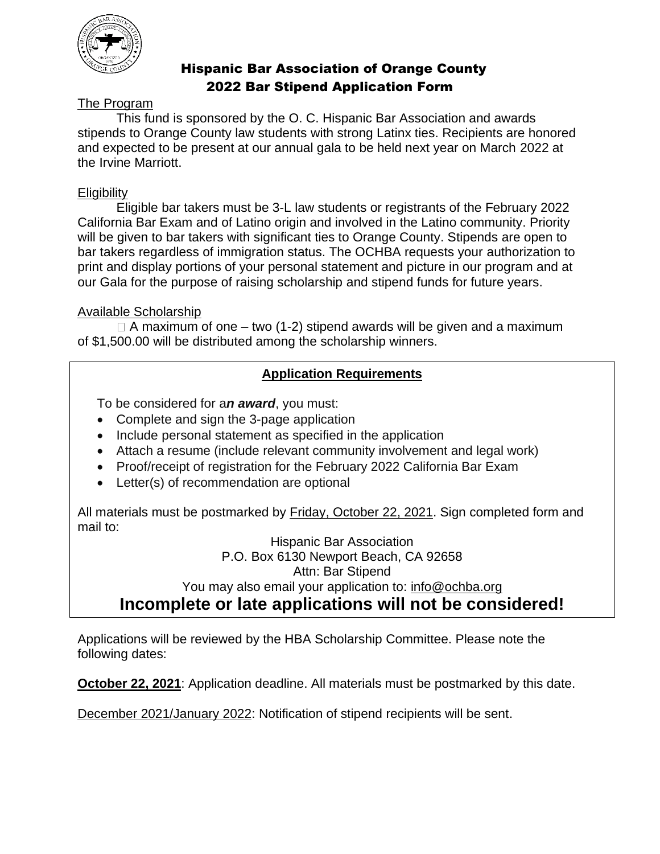

# Hispanic Bar Association of Orange County 2022 Bar Stipend Application Form

# The Program

This fund is sponsored by the O. C. Hispanic Bar Association and awards stipends to Orange County law students with strong Latinx ties. Recipients are honored and expected to be present at our annual gala to be held next year on March 2022 at the Irvine Marriott.

#### **Eligibility**

Eligible bar takers must be 3-L law students or registrants of the February 2022 California Bar Exam and of Latino origin and involved in the Latino community. Priority will be given to bar takers with significant ties to Orange County. Stipends are open to bar takers regardless of immigration status. The OCHBA requests your authorization to print and display portions of your personal statement and picture in our program and at our Gala for the purpose of raising scholarship and stipend funds for future years.

#### Available Scholarship

 $\Box$  A maximum of one – two (1-2) stipend awards will be given and a maximum of \$1,500.00 will be distributed among the scholarship winners.

### **Application Requirements**

To be considered for a*n award*, you must:

- Complete and sign the 3-page application
- Include personal statement as specified in the application
- Attach a resume (include relevant community involvement and legal work)
- Proof/receipt of registration for the February 2022 California Bar Exam
- Letter(s) of recommendation are optional

All materials must be postmarked by Friday, October 22, 2021. Sign completed form and mail to:

Hispanic Bar Association P.O. Box 6130 Newport Beach, CA 92658 Attn: Bar Stipend You may also email your application to: info@ochba.org **Incomplete or late applications will not be considered!**

Applications will be reviewed by the HBA Scholarship Committee. Please note the following dates:

**October 22, 2021:** Application deadline. All materials must be postmarked by this date.

December 2021/January 2022: Notification of stipend recipients will be sent.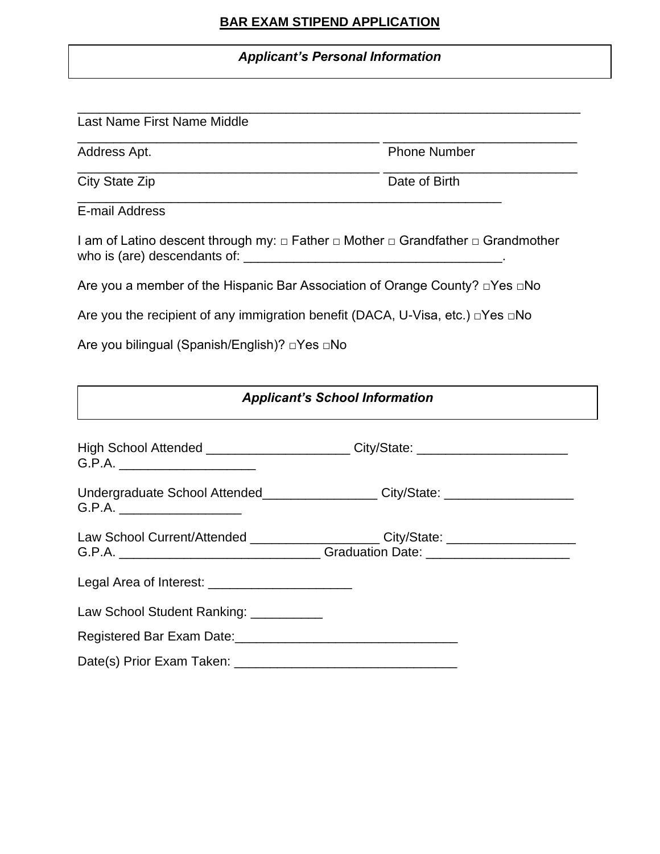# **BAR EXAM STIPEND APPLICATION**

\_\_\_\_\_\_\_\_\_\_\_\_\_\_\_\_\_\_\_\_\_\_\_\_\_\_\_\_\_\_\_\_\_\_\_\_\_\_\_\_\_\_\_\_\_\_\_\_\_\_\_\_\_\_\_\_\_\_\_\_\_\_\_\_\_\_\_\_\_\_

\_\_\_\_\_\_\_\_\_\_\_\_\_\_\_\_\_\_\_\_\_\_\_\_\_\_\_\_\_\_\_\_\_\_\_\_\_\_\_\_\_\_ \_\_\_\_\_\_\_\_\_\_\_\_\_\_\_\_\_\_\_\_\_\_\_\_\_\_\_

\_\_\_\_\_\_\_\_\_\_\_\_\_\_\_\_\_\_\_\_\_\_\_\_\_\_\_\_\_\_\_\_\_\_\_\_\_\_\_\_\_\_ \_\_\_\_\_\_\_\_\_\_\_\_\_\_\_\_\_\_\_\_\_\_\_\_\_\_\_

### *Applicant's Personal Information*

### Last Name First Name Middle

Address Apt. **Phone Number** 

City State Zip **Date of Birth** 

E-mail Address

I am of Latino descent through my: □ Father □ Mother □ Grandfather □ Grandmother who is (are) descendants of: \_\_\_\_\_\_\_\_\_\_\_\_\_\_\_\_\_\_\_\_\_\_\_\_\_\_\_\_\_\_\_\_\_\_\_\_.

Are you a member of the Hispanic Bar Association of Orange County? □Yes □No

\_\_\_\_\_\_\_\_\_\_\_\_\_\_\_\_\_\_\_\_\_\_\_\_\_\_\_\_\_\_\_\_\_\_\_\_\_\_\_\_\_\_\_\_\_\_\_\_\_\_\_\_\_\_\_\_\_\_\_

Are you the recipient of any immigration benefit (DACA, U-Visa, etc.) □Yes □No

Are you bilingual (Spanish/English)? □Yes □No

| <b>Applicant's School Information</b>                                                                                                                                |  |  |
|----------------------------------------------------------------------------------------------------------------------------------------------------------------------|--|--|
| High School Attended _________________________City/State: ______________________<br>G.P.A.                                                                           |  |  |
| Undergraduate School Attended__________________City/State: _____________________<br>G.P.A.                                                                           |  |  |
| Law School Current/Attended ________________________City/State: ________________<br>G.P.A. _________________________________Graduation Date: _______________________ |  |  |
| Legal Area of Interest: ________________________                                                                                                                     |  |  |
| Law School Student Ranking: __________                                                                                                                               |  |  |
|                                                                                                                                                                      |  |  |
|                                                                                                                                                                      |  |  |